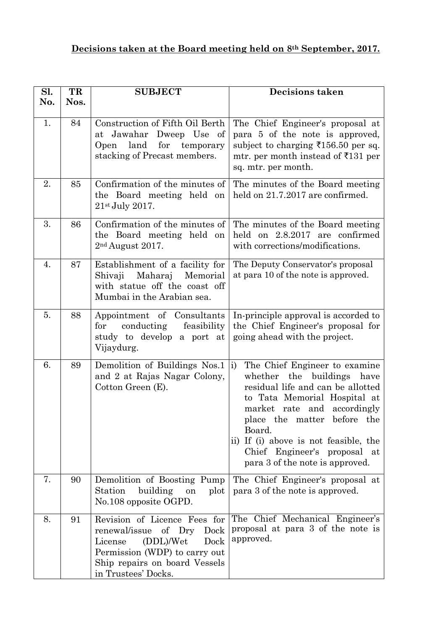## **Decisions taken at the Board meeting held on 8th September, 2017.**

| Sl. | TR   | <b>SUBJECT</b>                                                                                                                                                                        | <b>Decisions taken</b>                                                                                                                                                                                                                                                                                                                       |
|-----|------|---------------------------------------------------------------------------------------------------------------------------------------------------------------------------------------|----------------------------------------------------------------------------------------------------------------------------------------------------------------------------------------------------------------------------------------------------------------------------------------------------------------------------------------------|
| No. | Nos. |                                                                                                                                                                                       |                                                                                                                                                                                                                                                                                                                                              |
| 1.  | 84   | Construction of Fifth Oil Berth<br>at Jawahar<br>Dweep Use of<br>Open land<br>for<br>temporary<br>stacking of Precast members.                                                        | The Chief Engineer's proposal at<br>para 5 of the note is approved,<br>subject to charging $\overline{5156.50}$ per sq.<br>mtr. per month instead of $\text{\textoverline{5}}131$ per<br>sq. mtr. per month.                                                                                                                                 |
| 2.  | 85   | Confirmation of the minutes of<br>the Board meeting held on<br>$21st$ July 2017.                                                                                                      | The minutes of the Board meeting<br>held on 21.7.2017 are confirmed.                                                                                                                                                                                                                                                                         |
| 3.  | 86   | Confirmation of the minutes of<br>the Board meeting held on<br>$2nd$ August 2017.                                                                                                     | The minutes of the Board meeting<br>held on 2.8.2017 are confirmed<br>with corrections/modifications.                                                                                                                                                                                                                                        |
| 4.  | 87   | Establishment of a facility for<br>Maharaj Memorial<br>Shivaji<br>with statue off the coast off<br>Mumbai in the Arabian sea.                                                         | The Deputy Conservator's proposal<br>at para 10 of the note is approved.                                                                                                                                                                                                                                                                     |
| 5.  | 88   | Appointment of Consultants<br>conducting<br>feasibility<br>for<br>study to develop a port at<br>Vijaydurg.                                                                            | In-principle approval is accorded to<br>the Chief Engineer's proposal for<br>going ahead with the project.                                                                                                                                                                                                                                   |
| 6.  | 89   | Demolition of Buildings Nos.1<br>and 2 at Rajas Nagar Colony,<br>Cotton Green (E).                                                                                                    | $\vert i \rangle$<br>The Chief Engineer to examine<br>whether the buildings<br>have<br>residual life and can be allotted<br>to Tata Memorial Hospital at<br>market rate and accordingly<br>place the matter before the<br>Board.<br>ii) If (i) above is not feasible, the<br>Chief Engineer's proposal at<br>para 3 of the note is approved. |
| 7.  | 90   | Demolition of Boosting Pump<br>building<br>Station<br>plot<br>on<br>No.108 opposite OGPD.                                                                                             | The Chief Engineer's proposal at<br>para 3 of the note is approved.                                                                                                                                                                                                                                                                          |
| 8.  | 91   | Revision of Licence Fees for<br>renewal/issue of Dry<br>Dock<br>(DDL)/Wet<br>Dock<br>License<br>Permission (WDP) to carry out<br>Ship repairs on board Vessels<br>in Trustees' Docks. | The Chief Mechanical Engineer's<br>proposal at para 3 of the note is<br>approved.                                                                                                                                                                                                                                                            |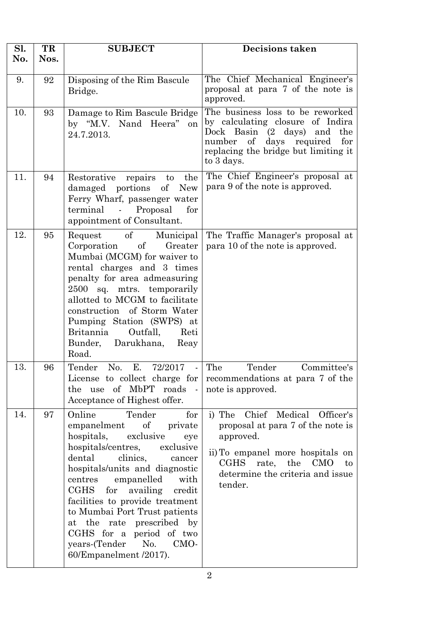| Sl.<br>No. | TR<br>Nos. | <b>SUBJECT</b>                                                                                                                                                                                                                                                                                                                                                                                                                                                            | <b>Decisions taken</b>                                                                                                                                                                                                             |
|------------|------------|---------------------------------------------------------------------------------------------------------------------------------------------------------------------------------------------------------------------------------------------------------------------------------------------------------------------------------------------------------------------------------------------------------------------------------------------------------------------------|------------------------------------------------------------------------------------------------------------------------------------------------------------------------------------------------------------------------------------|
| 9.         | 92         | Disposing of the Rim Bascule<br>Bridge.                                                                                                                                                                                                                                                                                                                                                                                                                                   | The Chief Mechanical Engineer's<br>proposal at para 7 of the note is<br>approved.                                                                                                                                                  |
| 10.        | 93         | Damage to Rim Bascule Bridge<br>by "M.V. Nand Heera" on<br>24.7.2013.                                                                                                                                                                                                                                                                                                                                                                                                     | The business loss to be reworked<br>by calculating closure of Indira<br>Dock Basin<br>$(2 \text{ days})$<br>and<br>the<br>$\mathrm{of}$<br>days<br>required<br>number<br>for<br>replacing the bridge but limiting it<br>to 3 days. |
| 11.        | 94         | Restorative repairs<br>the<br>to<br><b>New</b><br>damaged portions<br>of<br>Ferry Wharf, passenger water<br>Proposal<br>terminal<br>$\sim 100$ km s $^{-1}$<br>for<br>appointment of Consultant.                                                                                                                                                                                                                                                                          | The Chief Engineer's proposal at<br>para 9 of the note is approved.                                                                                                                                                                |
| 12.        | 95         | <sub>of</sub><br>Municipal<br>Request<br>Corporation<br>$\sigma f$<br>Greater<br>Mumbai (MCGM) for waiver to<br>rental charges and 3 times<br>penalty for area admeasuring<br>2500 sq. mtrs. temporarily<br>allotted to MCGM to facilitate<br>construction of Storm Water<br>Pumping Station (SWPS) at<br><b>Britannia</b><br>Outfall.<br>Reti<br>Bunder,<br>Darukhana,<br>Reay<br>Road.                                                                                  | The Traffic Manager's proposal at<br>para 10 of the note is approved.                                                                                                                                                              |
| 13.        | 96         | $E_{\cdot}$<br>No.<br>Tender<br>72/2017<br>$\blacksquare$<br>License to collect charge for<br>the use of MbPT roads<br>$\sim$ $\sim$<br>Acceptance of Highest offer.                                                                                                                                                                                                                                                                                                      | The<br>Tender<br>Committee's<br>recommendations at para 7 of the<br>note is approved.                                                                                                                                              |
| 14.        | 97         | Online<br>Tender<br>for<br>$\sigma f$<br>empanelment<br>private<br>hospitals,<br>exclusive<br>eye<br>hospitals/centres,<br>exclusive<br>dental<br>clinics,<br>cancer<br>hospitals/units and diagnostic<br>centres<br>empanelled<br>with<br>$\rm CGHS$<br>for<br>availing<br>credit<br>facilities to provide treatment<br>to Mumbai Port Trust patients<br>at the rate prescribed by<br>CGHS for a period of two<br>No.<br>years-(Tender<br>CMO-<br>60/Empanelment /2017). | Chief Medical<br>Officer's<br>i) The<br>proposal at para 7 of the note is<br>approved.<br>ii) To empanel more hospitals on<br>CGHS rate,<br>the<br><b>CMO</b><br>to<br>determine the criteria and issue<br>tender.                 |